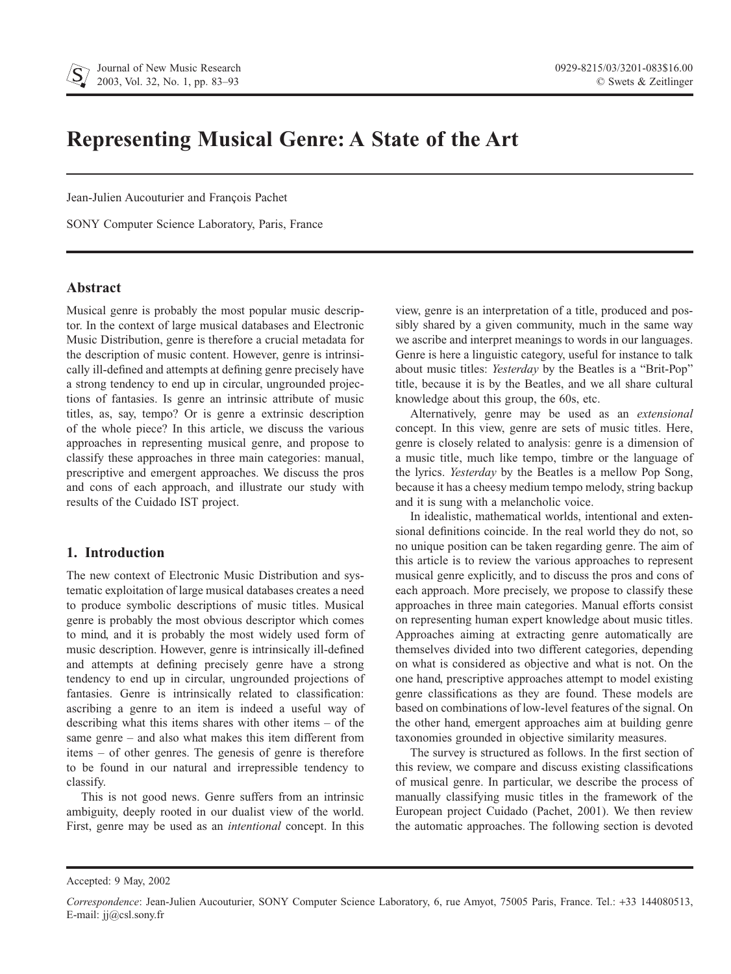# **Representing Musical Genre: A State of the Art**

Jean-Julien Aucouturier and François Pachet

SONY Computer Science Laboratory, Paris, France

# **Abstract**

Musical genre is probably the most popular music descriptor. In the context of large musical databases and Electronic Music Distribution, genre is therefore a crucial metadata for the description of music content. However, genre is intrinsically ill-defined and attempts at defining genre precisely have a strong tendency to end up in circular, ungrounded projections of fantasies. Is genre an intrinsic attribute of music titles, as, say, tempo? Or is genre a extrinsic description of the whole piece? In this article, we discuss the various approaches in representing musical genre, and propose to classify these approaches in three main categories: manual, prescriptive and emergent approaches. We discuss the pros and cons of each approach, and illustrate our study with results of the Cuidado IST project.

# **1. Introduction**

The new context of Electronic Music Distribution and systematic exploitation of large musical databases creates a need to produce symbolic descriptions of music titles. Musical genre is probably the most obvious descriptor which comes to mind, and it is probably the most widely used form of music description. However, genre is intrinsically ill-defined and attempts at defining precisely genre have a strong tendency to end up in circular, ungrounded projections of fantasies. Genre is intrinsically related to classification: ascribing a genre to an item is indeed a useful way of describing what this items shares with other items – of the same genre – and also what makes this item different from items – of other genres. The genesis of genre is therefore to be found in our natural and irrepressible tendency to classify.

This is not good news. Genre suffers from an intrinsic ambiguity, deeply rooted in our dualist view of the world. First, genre may be used as an *intentional* concept. In this

view, genre is an interpretation of a title, produced and possibly shared by a given community, much in the same way we ascribe and interpret meanings to words in our languages. Genre is here a linguistic category, useful for instance to talk about music titles: *Yesterday* by the Beatles is a "Brit-Pop" title, because it is by the Beatles, and we all share cultural knowledge about this group, the 60s, etc.

Alternatively, genre may be used as an *extensional* concept. In this view, genre are sets of music titles. Here, genre is closely related to analysis: genre is a dimension of a music title, much like tempo, timbre or the language of the lyrics. *Yesterday* by the Beatles is a mellow Pop Song, because it has a cheesy medium tempo melody, string backup and it is sung with a melancholic voice.

In idealistic, mathematical worlds, intentional and extensional definitions coincide. In the real world they do not, so no unique position can be taken regarding genre. The aim of this article is to review the various approaches to represent musical genre explicitly, and to discuss the pros and cons of each approach. More precisely, we propose to classify these approaches in three main categories. Manual efforts consist on representing human expert knowledge about music titles. Approaches aiming at extracting genre automatically are themselves divided into two different categories, depending on what is considered as objective and what is not. On the one hand, prescriptive approaches attempt to model existing genre classifications as they are found. These models are based on combinations of low-level features of the signal. On the other hand, emergent approaches aim at building genre taxonomies grounded in objective similarity measures.

The survey is structured as follows. In the first section of this review, we compare and discuss existing classifications of musical genre. In particular, we describe the process of manually classifying music titles in the framework of the European project Cuidado (Pachet, 2001). We then review the automatic approaches. The following section is devoted

Accepted: 9 May, 2002

*Correspondence*: Jean-Julien Aucouturier, SONY Computer Science Laboratory, 6, rue Amyot, 75005 Paris, France. Tel.: +33 144080513, E-mail: jj@csl.sony.fr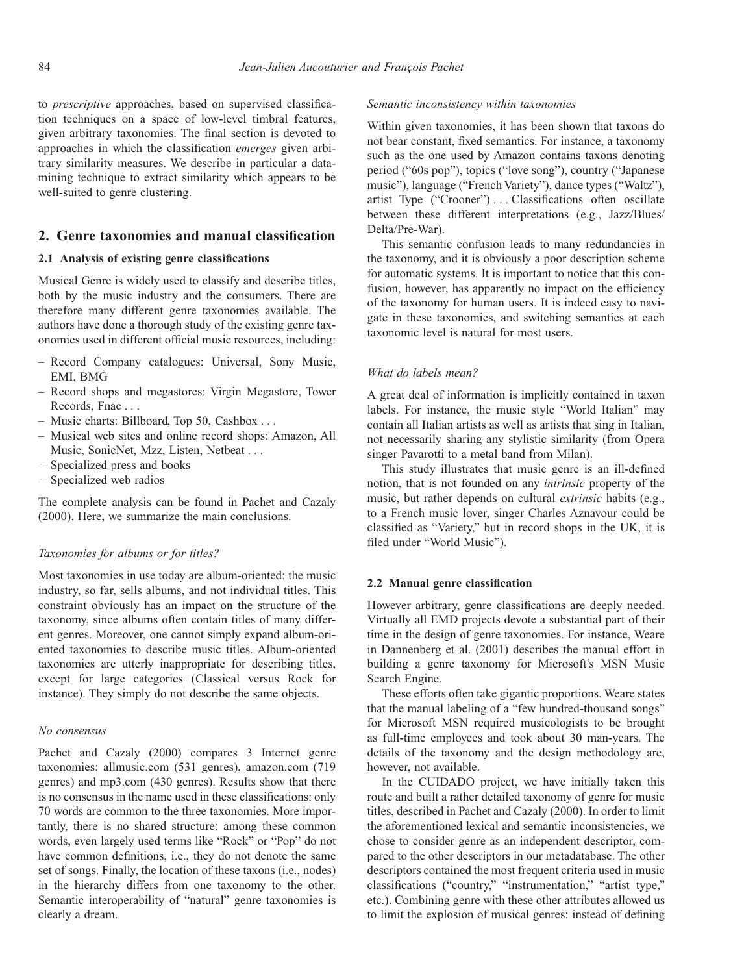to *prescriptive* approaches, based on supervised classification techniques on a space of low-level timbral features, given arbitrary taxonomies. The final section is devoted to approaches in which the classification *emerges* given arbitrary similarity measures. We describe in particular a datamining technique to extract similarity which appears to be well-suited to genre clustering.

# **2. Genre taxonomies and manual classification**

#### **2.1 Analysis of existing genre classifications**

Musical Genre is widely used to classify and describe titles, both by the music industry and the consumers. There are therefore many different genre taxonomies available. The authors have done a thorough study of the existing genre taxonomies used in different official music resources, including:

- Record Company catalogues: Universal, Sony Music, EMI, BMG
- Record shops and megastores: Virgin Megastore, Tower Records, Fnac...
- Music charts: Billboard, Top 50, Cashbox...
- Musical web sites and online record shops: Amazon, All Music, SonicNet, Mzz, Listen, Netbeat...
- Specialized press and books
- Specialized web radios

The complete analysis can be found in Pachet and Cazaly (2000). Here, we summarize the main conclusions.

#### *Taxonomies for albums or for titles?*

Most taxonomies in use today are album-oriented: the music industry, so far, sells albums, and not individual titles. This constraint obviously has an impact on the structure of the taxonomy, since albums often contain titles of many different genres. Moreover, one cannot simply expand album-oriented taxonomies to describe music titles. Album-oriented taxonomies are utterly inappropriate for describing titles, except for large categories (Classical versus Rock for instance). They simply do not describe the same objects.

#### *No consensus*

Pachet and Cazaly (2000) compares 3 Internet genre taxonomies: allmusic.com (531 genres), amazon.com (719 genres) and mp3.com (430 genres). Results show that there is no consensus in the name used in these classifications: only 70 words are common to the three taxonomies. More importantly, there is no shared structure: among these common words, even largely used terms like "Rock" or "Pop" do not have common definitions, i.e., they do not denote the same set of songs. Finally, the location of these taxons (i.e., nodes) in the hierarchy differs from one taxonomy to the other. Semantic interoperability of "natural" genre taxonomies is clearly a dream.

#### *Semantic inconsistency within taxonomies*

Within given taxonomies, it has been shown that taxons do not bear constant, fixed semantics. For instance, a taxonomy such as the one used by Amazon contains taxons denoting period ("60s pop"), topics ("love song"), country ("Japanese music"), language ("French Variety"), dance types ("Waltz"), artist Type ("Crooner")... Classifications often oscillate between these different interpretations (e.g., Jazz/Blues/ Delta/Pre-War).

This semantic confusion leads to many redundancies in the taxonomy, and it is obviously a poor description scheme for automatic systems. It is important to notice that this confusion, however, has apparently no impact on the efficiency of the taxonomy for human users. It is indeed easy to navigate in these taxonomies, and switching semantics at each taxonomic level is natural for most users.

#### *What do labels mean?*

A great deal of information is implicitly contained in taxon labels. For instance, the music style "World Italian" may contain all Italian artists as well as artists that sing in Italian, not necessarily sharing any stylistic similarity (from Opera singer Pavarotti to a metal band from Milan).

This study illustrates that music genre is an ill-defined notion, that is not founded on any *intrinsic* property of the music, but rather depends on cultural *extrinsic* habits (e.g., to a French music lover, singer Charles Aznavour could be classified as "Variety," but in record shops in the UK, it is filed under "World Music").

#### **2.2 Manual genre classification**

However arbitrary, genre classifications are deeply needed. Virtually all EMD projects devote a substantial part of their time in the design of genre taxonomies. For instance, Weare in Dannenberg et al. (2001) describes the manual effort in building a genre taxonomy for Microsoft's MSN Music Search Engine.

These efforts often take gigantic proportions. Weare states that the manual labeling of a "few hundred-thousand songs" for Microsoft MSN required musicologists to be brought as full-time employees and took about 30 man-years. The details of the taxonomy and the design methodology are, however, not available.

In the CUIDADO project, we have initially taken this route and built a rather detailed taxonomy of genre for music titles, described in Pachet and Cazaly (2000). In order to limit the aforementioned lexical and semantic inconsistencies, we chose to consider genre as an independent descriptor, compared to the other descriptors in our metadatabase. The other descriptors contained the most frequent criteria used in music classifications ("country," "instrumentation," "artist type," etc.). Combining genre with these other attributes allowed us to limit the explosion of musical genres: instead of defining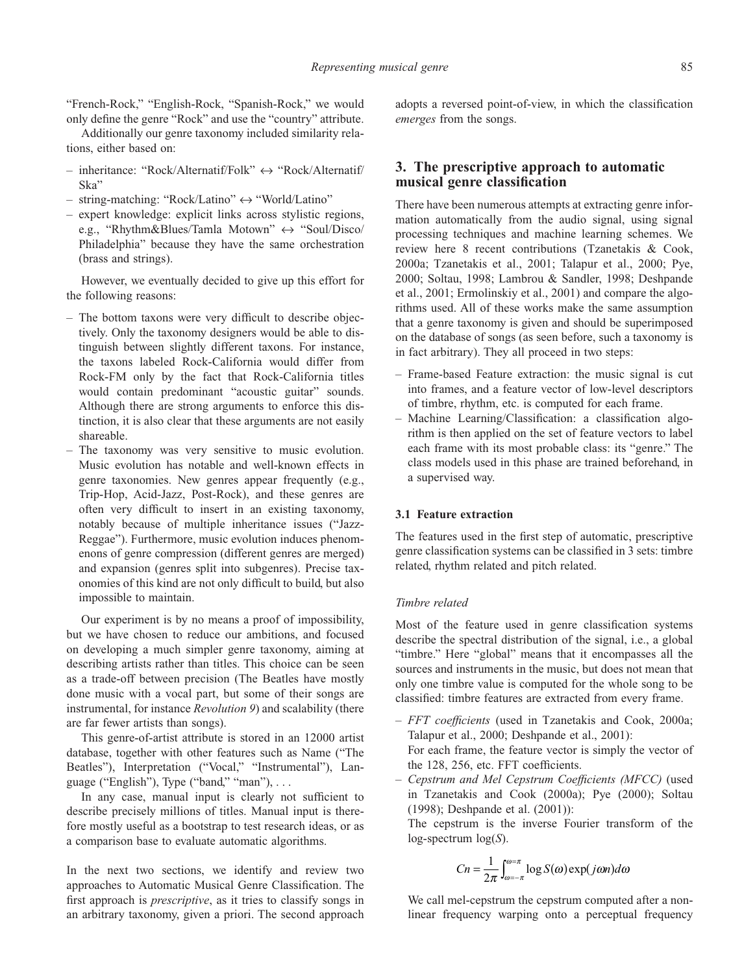"French-Rock," "English-Rock, "Spanish-Rock," we would only define the genre "Rock" and use the "country" attribute.

Additionally our genre taxonomy included similarity relations, either based on:

- inheritance: "Rock/Alternatif/Folk"  $\leftrightarrow$  "Rock/Alternatif/ Ska"
- string-matching: "Rock/Latino"  $\leftrightarrow$  "World/Latino"
- expert knowledge: explicit links across stylistic regions, e.g., "Rhythm&Blues/Tamla Motown"  $\leftrightarrow$  "Soul/Disco/ Philadelphia" because they have the same orchestration (brass and strings).

However, we eventually decided to give up this effort for the following reasons:

- The bottom taxons were very difficult to describe objectively. Only the taxonomy designers would be able to distinguish between slightly different taxons. For instance, the taxons labeled Rock-California would differ from Rock-FM only by the fact that Rock-California titles would contain predominant "acoustic guitar" sounds. Although there are strong arguments to enforce this distinction, it is also clear that these arguments are not easily shareable.
- The taxonomy was very sensitive to music evolution. Music evolution has notable and well-known effects in genre taxonomies. New genres appear frequently (e.g., Trip-Hop, Acid-Jazz, Post-Rock), and these genres are often very difficult to insert in an existing taxonomy, notably because of multiple inheritance issues ("Jazz-Reggae"). Furthermore, music evolution induces phenomenons of genre compression (different genres are merged) and expansion (genres split into subgenres). Precise taxonomies of this kind are not only difficult to build, but also impossible to maintain.

Our experiment is by no means a proof of impossibility, but we have chosen to reduce our ambitions, and focused on developing a much simpler genre taxonomy, aiming at describing artists rather than titles. This choice can be seen as a trade-off between precision (The Beatles have mostly done music with a vocal part, but some of their songs are instrumental, for instance *Revolution 9*) and scalability (there are far fewer artists than songs).

This genre-of-artist attribute is stored in an 12000 artist database, together with other features such as Name ("The Beatles"), Interpretation ("Vocal," "Instrumental"), Language ("English"), Type ("band," "man"), ...

In any case, manual input is clearly not sufficient to describe precisely millions of titles. Manual input is therefore mostly useful as a bootstrap to test research ideas, or as a comparison base to evaluate automatic algorithms.

In the next two sections, we identify and review two approaches to Automatic Musical Genre Classification. The first approach is *prescriptive*, as it tries to classify songs in an arbitrary taxonomy, given a priori. The second approach adopts a reversed point-of-view, in which the classification *emerges* from the songs.

# **3. The prescriptive approach to automatic musical genre classification**

There have been numerous attempts at extracting genre information automatically from the audio signal, using signal processing techniques and machine learning schemes. We review here 8 recent contributions (Tzanetakis & Cook, 2000a; Tzanetakis et al., 2001; Talapur et al., 2000; Pye, 2000; Soltau, 1998; Lambrou & Sandler, 1998; Deshpande et al., 2001; Ermolinskiy et al., 2001) and compare the algorithms used. All of these works make the same assumption that a genre taxonomy is given and should be superimposed on the database of songs (as seen before, such a taxonomy is in fact arbitrary). They all proceed in two steps:

- Frame-based Feature extraction: the music signal is cut into frames, and a feature vector of low-level descriptors of timbre, rhythm, etc. is computed for each frame.
- Machine Learning/Classification: a classification algorithm is then applied on the set of feature vectors to label each frame with its most probable class: its "genre." The class models used in this phase are trained beforehand, in a supervised way.

# **3.1 Feature extraction**

The features used in the first step of automatic, prescriptive genre classification systems can be classified in 3 sets: timbre related, rhythm related and pitch related.

## *Timbre related*

Most of the feature used in genre classification systems describe the spectral distribution of the signal, i.e., a global "timbre." Here "global" means that it encompasses all the sources and instruments in the music, but does not mean that only one timbre value is computed for the whole song to be classified: timbre features are extracted from every frame.

- *FFT coefficients* (used in Tzanetakis and Cook, 2000a; Talapur et al., 2000; Deshpande et al., 2001): For each frame, the feature vector is simply the vector of the 128, 256, etc. FFT coefficients.
- *Cepstrum and Mel Cepstrum Coefficients (MFCC)* (used in Tzanetakis and Cook (2000a); Pye (2000); Soltau (1998); Deshpande et al. (2001)):

The cepstrum is the inverse Fourier transform of the log-spectrum log(*S*).

$$
Cn = \frac{1}{2\pi} \int_{\omega = -\pi}^{\omega = \pi} \log S(\omega) \exp(j\omega n) d\omega
$$

We call mel-cepstrum the cepstrum computed after a nonlinear frequency warping onto a perceptual frequency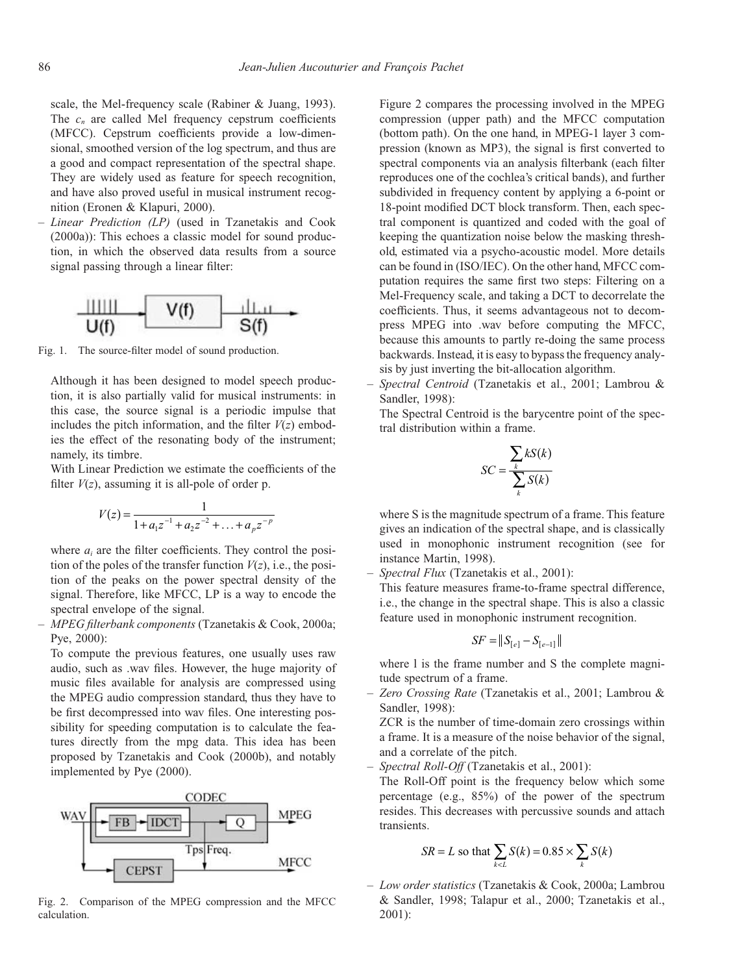scale, the Mel-frequency scale (Rabiner & Juang, 1993). The  $c_n$  are called Mel frequency cepstrum coefficients (MFCC). Cepstrum coefficients provide a low-dimensional, smoothed version of the log spectrum, and thus are a good and compact representation of the spectral shape. They are widely used as feature for speech recognition, and have also proved useful in musical instrument recognition (Eronen & Klapuri, 2000).

– *Linear Prediction (LP)* (used in Tzanetakis and Cook (2000a)): This echoes a classic model for sound production, in which the observed data results from a source signal passing through a linear filter:



Fig. 1. The source-filter model of sound production.

Although it has been designed to model speech production, it is also partially valid for musical instruments: in this case, the source signal is a periodic impulse that includes the pitch information, and the filter  $V(z)$  embodies the effect of the resonating body of the instrument; namely, its timbre.

With Linear Prediction we estimate the coefficients of the filter  $V(z)$ , assuming it is all-pole of order p.

$$
V(z) = \frac{1}{1 + a_1 z^{-1} + a_2 z^{-2} + \dots + a_p z^{-p}}
$$

where *a<sub>i</sub>* are the filter coefficients. They control the position of the poles of the transfer function  $V(z)$ , i.e., the position of the peaks on the power spectral density of the signal. Therefore, like MFCC, LP is a way to encode the spectral envelope of the signal.

– *MPEG filterbank components* (Tzanetakis & Cook, 2000a; Pye, 2000):

To compute the previous features, one usually uses raw audio, such as .wav files. However, the huge majority of music files available for analysis are compressed using the MPEG audio compression standard, thus they have to be first decompressed into wav files. One interesting possibility for speeding computation is to calculate the features directly from the mpg data. This idea has been proposed by Tzanetakis and Cook (2000b), and notably implemented by Pye (2000).



Fig. 2. Comparison of the MPEG compression and the MFCC calculation.

Figure 2 compares the processing involved in the MPEG compression (upper path) and the MFCC computation (bottom path). On the one hand, in MPEG-1 layer 3 compression (known as MP3), the signal is first converted to spectral components via an analysis filterbank (each filter reproduces one of the cochlea's critical bands), and further subdivided in frequency content by applying a 6-point or 18-point modified DCT block transform. Then, each spectral component is quantized and coded with the goal of keeping the quantization noise below the masking threshold, estimated via a psycho-acoustic model. More details can be found in (ISO/IEC). On the other hand, MFCC computation requires the same first two steps: Filtering on a Mel-Frequency scale, and taking a DCT to decorrelate the coefficients. Thus, it seems advantageous not to decompress MPEG into .wav before computing the MFCC, because this amounts to partly re-doing the same process backwards. Instead, it is easy to bypass the frequency analysis by just inverting the bit-allocation algorithm.

– *Spectral Centroid* (Tzanetakis et al., 2001; Lambrou & Sandler, 1998):

The Spectral Centroid is the barycentre point of the spectral distribution within a frame.

$$
SC = \frac{\sum_{k} kS(k)}{\sum_{k} S(k)}
$$

where S is the magnitude spectrum of a frame. This feature gives an indication of the spectral shape, and is classically used in monophonic instrument recognition (see for instance Martin, 1998).

– *Spectral Flux* (Tzanetakis et al., 2001):

This feature measures frame-to-frame spectral difference, i.e., the change in the spectral shape. This is also a classic feature used in monophonic instrument recognition.

$$
SF = \|S_{[e]} - S_{[e-1]}\|
$$

where l is the frame number and S the complete magnitude spectrum of a frame.

– *Zero Crossing Rate* (Tzanetakis et al., 2001; Lambrou & Sandler, 1998):

ZCR is the number of time-domain zero crossings within a frame. It is a measure of the noise behavior of the signal, and a correlate of the pitch.

- *Spectral Roll-Off* (Tzanetakis et al., 2001):
- The Roll-Off point is the frequency below which some percentage (e.g., 85%) of the power of the spectrum resides. This decreases with percussive sounds and attach transients.

$$
SR = L \text{ so that } \sum_{k < L} S(k) = 0.85 \times \sum_{k} S(k)
$$

– *Low order statistics* (Tzanetakis & Cook, 2000a; Lambrou & Sandler, 1998; Talapur et al., 2000; Tzanetakis et al., 2001):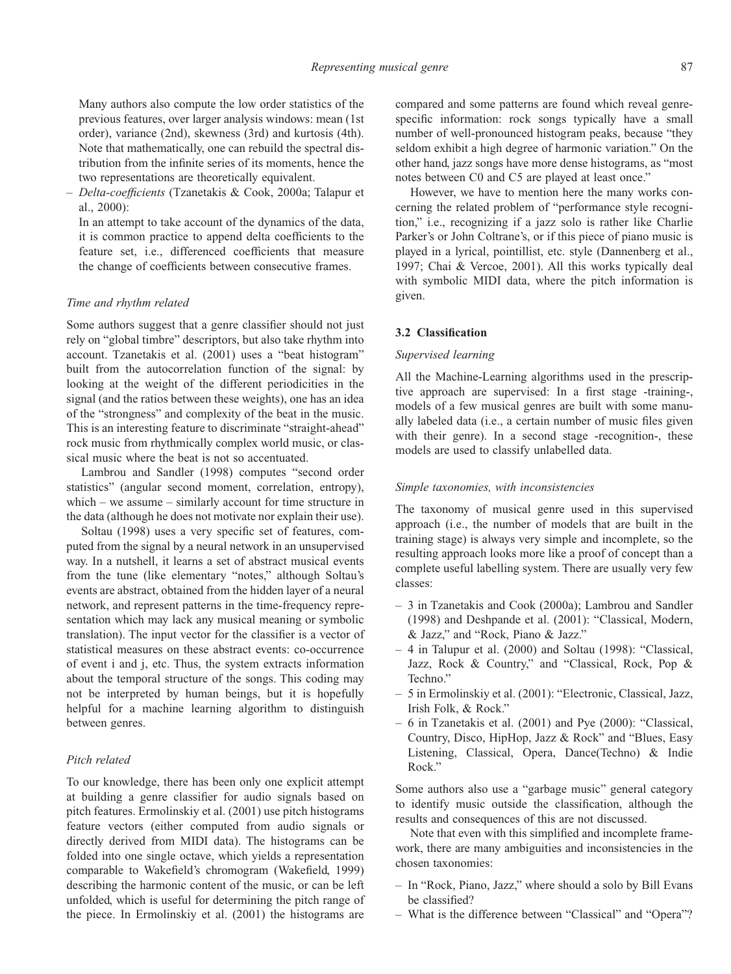Many authors also compute the low order statistics of the previous features, over larger analysis windows: mean (1st order), variance (2nd), skewness (3rd) and kurtosis (4th). Note that mathematically, one can rebuild the spectral distribution from the infinite series of its moments, hence the two representations are theoretically equivalent.

– *Delta-coefficients* (Tzanetakis & Cook, 2000a; Talapur et al., 2000):

In an attempt to take account of the dynamics of the data, it is common practice to append delta coefficients to the feature set, i.e., differenced coefficients that measure the change of coefficients between consecutive frames.

#### *Time and rhythm related*

Some authors suggest that a genre classifier should not just rely on "global timbre" descriptors, but also take rhythm into account. Tzanetakis et al. (2001) uses a "beat histogram" built from the autocorrelation function of the signal: by looking at the weight of the different periodicities in the signal (and the ratios between these weights), one has an idea of the "strongness" and complexity of the beat in the music. This is an interesting feature to discriminate "straight-ahead" rock music from rhythmically complex world music, or classical music where the beat is not so accentuated.

Lambrou and Sandler (1998) computes "second order statistics" (angular second moment, correlation, entropy), which – we assume – similarly account for time structure in the data (although he does not motivate nor explain their use).

Soltau (1998) uses a very specific set of features, computed from the signal by a neural network in an unsupervised way. In a nutshell, it learns a set of abstract musical events from the tune (like elementary "notes," although Soltau's events are abstract, obtained from the hidden layer of a neural network, and represent patterns in the time-frequency representation which may lack any musical meaning or symbolic translation). The input vector for the classifier is a vector of statistical measures on these abstract events: co-occurrence of event i and j, etc. Thus, the system extracts information about the temporal structure of the songs. This coding may not be interpreted by human beings, but it is hopefully helpful for a machine learning algorithm to distinguish between genres.

## *Pitch related*

To our knowledge, there has been only one explicit attempt at building a genre classifier for audio signals based on pitch features. Ermolinskiy et al. (2001) use pitch histograms feature vectors (either computed from audio signals or directly derived from MIDI data). The histograms can be folded into one single octave, which yields a representation comparable to Wakefield's chromogram (Wakefield, 1999) describing the harmonic content of the music, or can be left unfolded, which is useful for determining the pitch range of the piece. In Ermolinskiy et al. (2001) the histograms are compared and some patterns are found which reveal genrespecific information: rock songs typically have a small number of well-pronounced histogram peaks, because "they seldom exhibit a high degree of harmonic variation." On the other hand, jazz songs have more dense histograms, as "most notes between C0 and C5 are played at least once."

However, we have to mention here the many works concerning the related problem of "performance style recognition," i.e., recognizing if a jazz solo is rather like Charlie Parker's or John Coltrane's, or if this piece of piano music is played in a lyrical, pointillist, etc. style (Dannenberg et al., 1997; Chai & Vercoe, 2001). All this works typically deal with symbolic MIDI data, where the pitch information is given.

#### **3.2 Classification**

#### *Supervised learning*

All the Machine-Learning algorithms used in the prescriptive approach are supervised: In a first stage -training-, models of a few musical genres are built with some manually labeled data (i.e., a certain number of music files given with their genre). In a second stage -recognition-, these models are used to classify unlabelled data.

#### *Simple taxonomies, with inconsistencies*

The taxonomy of musical genre used in this supervised approach (i.e., the number of models that are built in the training stage) is always very simple and incomplete, so the resulting approach looks more like a proof of concept than a complete useful labelling system. There are usually very few classes:

- 3 in Tzanetakis and Cook (2000a); Lambrou and Sandler (1998) and Deshpande et al. (2001): "Classical, Modern, & Jazz," and "Rock, Piano & Jazz."
- 4 in Talupur et al. (2000) and Soltau (1998): "Classical, Jazz, Rock & Country," and "Classical, Rock, Pop & Techno."
- 5 in Ermolinskiy et al. (2001): "Electronic, Classical, Jazz, Irish Folk, & Rock."
- 6 in Tzanetakis et al. (2001) and Pye (2000): "Classical, Country, Disco, HipHop, Jazz & Rock" and "Blues, Easy Listening, Classical, Opera, Dance(Techno) & Indie Rock."

Some authors also use a "garbage music" general category to identify music outside the classification, although the results and consequences of this are not discussed.

Note that even with this simplified and incomplete framework, there are many ambiguities and inconsistencies in the chosen taxonomies:

- In "Rock, Piano, Jazz," where should a solo by Bill Evans be classified?
- What is the difference between "Classical" and "Opera"?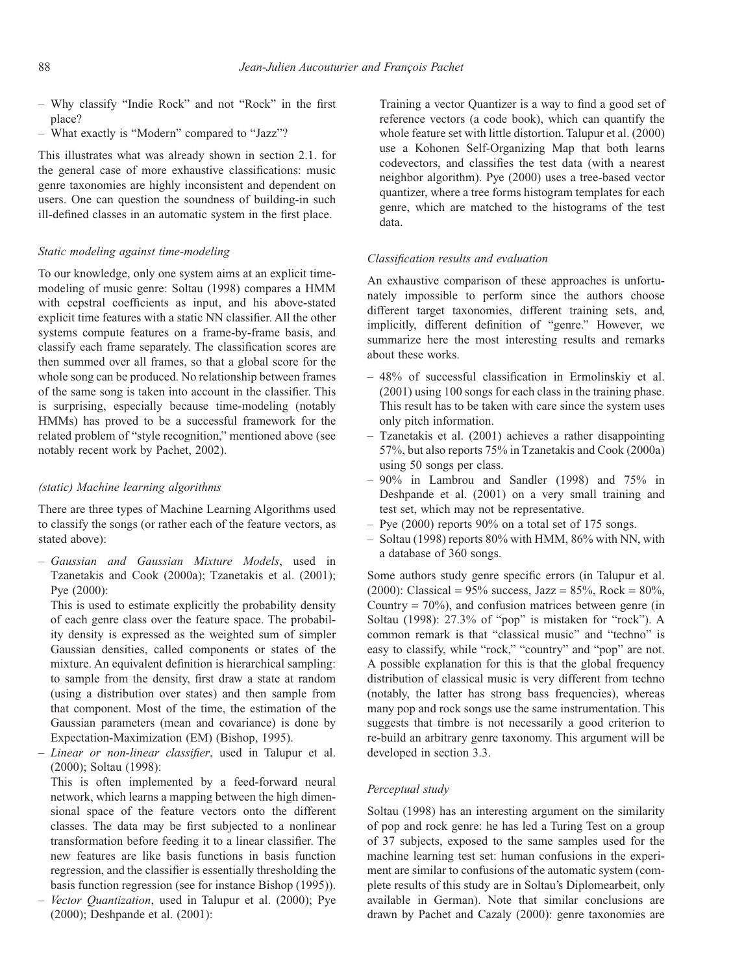- Why classify "Indie Rock" and not "Rock" in the first place?
- What exactly is "Modern" compared to "Jazz"?

This illustrates what was already shown in section 2.1. for the general case of more exhaustive classifications: music genre taxonomies are highly inconsistent and dependent on users. One can question the soundness of building-in such ill-defined classes in an automatic system in the first place.

#### *Static modeling against time-modeling*

To our knowledge, only one system aims at an explicit timemodeling of music genre: Soltau (1998) compares a HMM with cepstral coefficients as input, and his above-stated explicit time features with a static NN classifier. All the other systems compute features on a frame-by-frame basis, and classify each frame separately. The classification scores are then summed over all frames, so that a global score for the whole song can be produced. No relationship between frames of the same song is taken into account in the classifier. This is surprising, especially because time-modeling (notably HMMs) has proved to be a successful framework for the related problem of "style recognition," mentioned above (see notably recent work by Pachet, 2002).

#### *(static) Machine learning algorithms*

There are three types of Machine Learning Algorithms used to classify the songs (or rather each of the feature vectors, as stated above):

– *Gaussian and Gaussian Mixture Models*, used in Tzanetakis and Cook (2000a); Tzanetakis et al. (2001); Pye (2000):

This is used to estimate explicitly the probability density of each genre class over the feature space. The probability density is expressed as the weighted sum of simpler Gaussian densities, called components or states of the mixture. An equivalent definition is hierarchical sampling: to sample from the density, first draw a state at random (using a distribution over states) and then sample from that component. Most of the time, the estimation of the Gaussian parameters (mean and covariance) is done by Expectation-Maximization (EM) (Bishop, 1995).

– *Linear or non-linear classifier*, used in Talupur et al. (2000); Soltau (1998):

This is often implemented by a feed-forward neural network, which learns a mapping between the high dimensional space of the feature vectors onto the different classes. The data may be first subjected to a nonlinear transformation before feeding it to a linear classifier. The new features are like basis functions in basis function regression, and the classifier is essentially thresholding the basis function regression (see for instance Bishop (1995)).

– *Vector Quantization*, used in Talupur et al. (2000); Pye (2000); Deshpande et al. (2001):

Training a vector Quantizer is a way to find a good set of reference vectors (a code book), which can quantify the whole feature set with little distortion. Talupur et al. (2000) use a Kohonen Self-Organizing Map that both learns codevectors, and classifies the test data (with a nearest neighbor algorithm). Pye (2000) uses a tree-based vector quantizer, where a tree forms histogram templates for each genre, which are matched to the histograms of the test data.

#### *Classification results and evaluation*

An exhaustive comparison of these approaches is unfortunately impossible to perform since the authors choose different target taxonomies, different training sets, and, implicitly, different definition of "genre." However, we summarize here the most interesting results and remarks about these works.

- 48% of successful classification in Ermolinskiy et al. (2001) using 100 songs for each class in the training phase. This result has to be taken with care since the system uses only pitch information.
- Tzanetakis et al. (2001) achieves a rather disappointing 57%, but also reports 75% in Tzanetakis and Cook (2000a) using 50 songs per class.
- 90% in Lambrou and Sandler (1998) and 75% in Deshpande et al. (2001) on a very small training and test set, which may not be representative.
- Pye (2000) reports 90% on a total set of 175 songs.
- Soltau (1998) reports 80% with HMM, 86% with NN, with a database of 360 songs.

Some authors study genre specific errors (in Talupur et al. (2000): Classical =  $95\%$  success, Jazz =  $85\%$ , Rock =  $80\%$ , Country  $= 70\%$ ), and confusion matrices between genre (in Soltau (1998): 27.3% of "pop" is mistaken for "rock"). A common remark is that "classical music" and "techno" is easy to classify, while "rock," "country" and "pop" are not. A possible explanation for this is that the global frequency distribution of classical music is very different from techno (notably, the latter has strong bass frequencies), whereas many pop and rock songs use the same instrumentation. This suggests that timbre is not necessarily a good criterion to re-build an arbitrary genre taxonomy. This argument will be developed in section 3.3.

## *Perceptual study*

Soltau (1998) has an interesting argument on the similarity of pop and rock genre: he has led a Turing Test on a group of 37 subjects, exposed to the same samples used for the machine learning test set: human confusions in the experiment are similar to confusions of the automatic system (complete results of this study are in Soltau's Diplomearbeit, only available in German). Note that similar conclusions are drawn by Pachet and Cazaly (2000): genre taxonomies are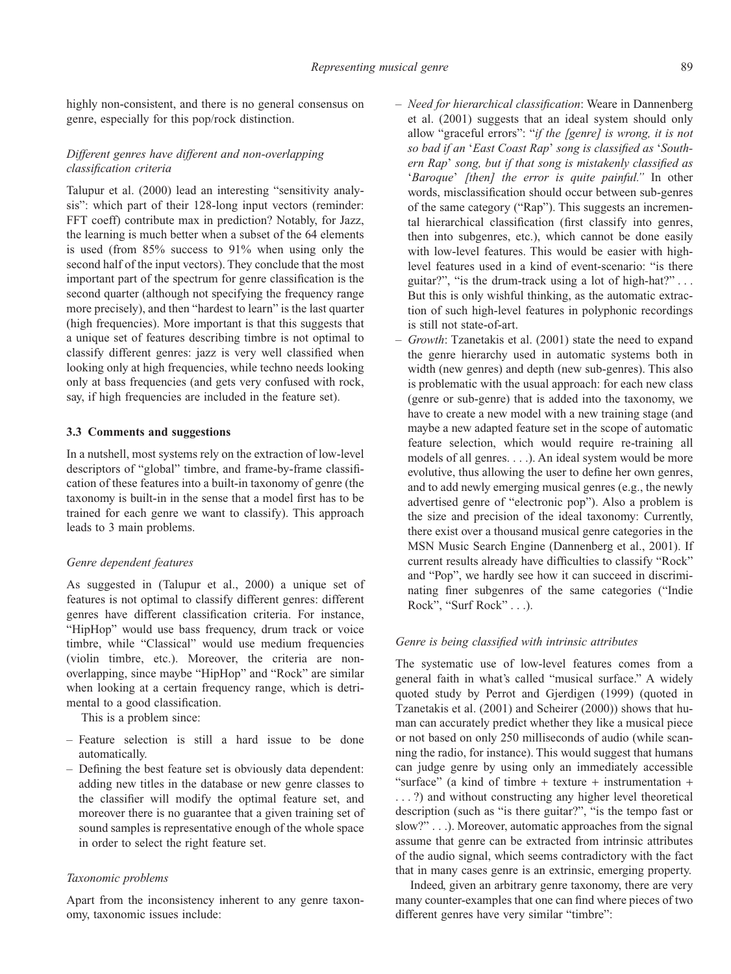highly non-consistent, and there is no general consensus on genre, especially for this pop/rock distinction.

## *Different genres have different and non-overlapping classification criteria*

Talupur et al. (2000) lead an interesting "sensitivity analysis": which part of their 128-long input vectors (reminder: FFT coeff) contribute max in prediction? Notably, for Jazz, the learning is much better when a subset of the 64 elements is used (from 85% success to 91% when using only the second half of the input vectors). They conclude that the most important part of the spectrum for genre classification is the second quarter (although not specifying the frequency range more precisely), and then "hardest to learn" is the last quarter (high frequencies). More important is that this suggests that a unique set of features describing timbre is not optimal to classify different genres: jazz is very well classified when looking only at high frequencies, while techno needs looking only at bass frequencies (and gets very confused with rock, say, if high frequencies are included in the feature set).

## **3.3 Comments and suggestions**

In a nutshell, most systems rely on the extraction of low-level descriptors of "global" timbre, and frame-by-frame classification of these features into a built-in taxonomy of genre (the taxonomy is built-in in the sense that a model first has to be trained for each genre we want to classify). This approach leads to 3 main problems.

#### *Genre dependent features*

As suggested in (Talupur et al., 2000) a unique set of features is not optimal to classify different genres: different genres have different classification criteria. For instance, "HipHop" would use bass frequency, drum track or voice timbre, while "Classical" would use medium frequencies (violin timbre, etc.). Moreover, the criteria are nonoverlapping, since maybe "HipHop" and "Rock" are similar when looking at a certain frequency range, which is detrimental to a good classification.

This is a problem since:

- Feature selection is still a hard issue to be done automatically.
- Defining the best feature set is obviously data dependent: adding new titles in the database or new genre classes to the classifier will modify the optimal feature set, and moreover there is no guarantee that a given training set of sound samples is representative enough of the whole space in order to select the right feature set.

# *Taxonomic problems*

Apart from the inconsistency inherent to any genre taxonomy, taxonomic issues include:

- *Need for hierarchical classification*: Weare in Dannenberg et al. (2001) suggests that an ideal system should only allow "graceful errors": "*if the [genre] is wrong, it is not so bad if an* '*East Coast Rap*' *song is classified as* '*Southern Rap*' *song, but if that song is mistakenly classified as* '*Baroque*' *[then] the error is quite painful."* In other words, misclassification should occur between sub-genres of the same category ("Rap"). This suggests an incremental hierarchical classification (first classify into genres, then into subgenres, etc.), which cannot be done easily with low-level features. This would be easier with highlevel features used in a kind of event-scenario: "is there guitar?", "is the drum-track using a lot of high-hat?"... But this is only wishful thinking, as the automatic extraction of such high-level features in polyphonic recordings is still not state-of-art.
- *Growth*: Tzanetakis et al. (2001) state the need to expand the genre hierarchy used in automatic systems both in width (new genres) and depth (new sub-genres). This also is problematic with the usual approach: for each new class (genre or sub-genre) that is added into the taxonomy, we have to create a new model with a new training stage (and maybe a new adapted feature set in the scope of automatic feature selection, which would require re-training all models of all genres. . . .). An ideal system would be more evolutive, thus allowing the user to define her own genres, and to add newly emerging musical genres (e.g., the newly advertised genre of "electronic pop"). Also a problem is the size and precision of the ideal taxonomy: Currently, there exist over a thousand musical genre categories in the MSN Music Search Engine (Dannenberg et al., 2001). If current results already have difficulties to classify "Rock" and "Pop", we hardly see how it can succeed in discriminating finer subgenres of the same categories ("Indie Rock", "Surf Rock" . . .).

#### *Genre is being classified with intrinsic attributes*

The systematic use of low-level features comes from a general faith in what's called "musical surface." A widely quoted study by Perrot and Gjerdigen (1999) (quoted in Tzanetakis et al. (2001) and Scheirer (2000)) shows that human can accurately predict whether they like a musical piece or not based on only 250 milliseconds of audio (while scanning the radio, for instance). This would suggest that humans can judge genre by using only an immediately accessible "surface" (a kind of timbre + texture + instrumentation + . . . ?) and without constructing any higher level theoretical description (such as "is there guitar?", "is the tempo fast or slow?" . . .). Moreover, automatic approaches from the signal assume that genre can be extracted from intrinsic attributes of the audio signal, which seems contradictory with the fact that in many cases genre is an extrinsic, emerging property.

Indeed, given an arbitrary genre taxonomy, there are very many counter-examples that one can find where pieces of two different genres have very similar "timbre":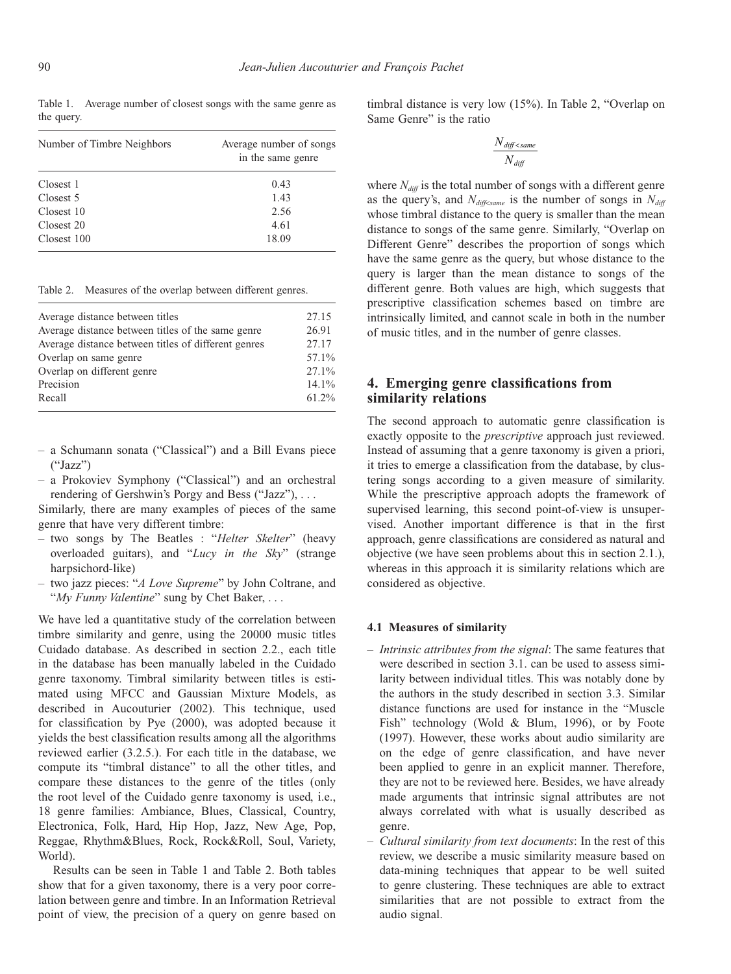Table 1. Average number of closest songs with the same genre as the query.

| Number of Timbre Neighbors | Average number of songs<br>in the same genre |
|----------------------------|----------------------------------------------|
| Closest 1                  | 0.43                                         |
| Closest 5                  | 1.43                                         |
| Closest 10                 | 2.56                                         |
| Closest 20                 | 4.61                                         |
| Closest 100                | 18.09                                        |

Table 2. Measures of the overlap between different genres.

| Average distance between titles                     | 27.15    |
|-----------------------------------------------------|----------|
| Average distance between titles of the same genre   | 26.91    |
| Average distance between titles of different genres | 27.17    |
| Overlap on same genre                               | 57.1%    |
| Overlap on different genre                          | $27.1\%$ |
| Precision                                           | $14.1\%$ |
| Recall                                              | $61.2\%$ |
|                                                     |          |

- a Schumann sonata ("Classical") and a Bill Evans piece ("Jazz")
- a Prokoviev Symphony ("Classical") and an orchestral rendering of Gershwin's Porgy and Bess ("Jazz"), ...

Similarly, there are many examples of pieces of the same genre that have very different timbre:

- two songs by The Beatles : "*Helter Skelter*" (heavy overloaded guitars), and "*Lucy in the Sky*" (strange harpsichord-like)
- two jazz pieces: "*A Love Supreme*" by John Coltrane, and "*My Funny Valentine*" sung by Chet Baker,...

We have led a quantitative study of the correlation between timbre similarity and genre, using the 20000 music titles Cuidado database. As described in section 2.2., each title in the database has been manually labeled in the Cuidado genre taxonomy. Timbral similarity between titles is estimated using MFCC and Gaussian Mixture Models, as described in Aucouturier (2002). This technique, used for classification by Pye (2000), was adopted because it yields the best classification results among all the algorithms reviewed earlier (3.2.5.). For each title in the database, we compute its "timbral distance" to all the other titles, and compare these distances to the genre of the titles (only the root level of the Cuidado genre taxonomy is used, i.e., 18 genre families: Ambiance, Blues, Classical, Country, Electronica, Folk, Hard, Hip Hop, Jazz, New Age, Pop, Reggae, Rhythm&Blues, Rock, Rock&Roll, Soul, Variety, World).

Results can be seen in Table 1 and Table 2. Both tables show that for a given taxonomy, there is a very poor correlation between genre and timbre. In an Information Retrieval point of view, the precision of a query on genre based on timbral distance is very low (15%). In Table 2, "Overlap on Same Genre" is the ratio

$$
\frac{N_{\textit{diff} < \textit{same}}}{N_{\textit{diff}}}
$$

where  $N_{diff}$  is the total number of songs with a different genre as the query's, and  $N_{diff\ll mme}$  is the number of songs in  $N_{diff}$ whose timbral distance to the query is smaller than the mean distance to songs of the same genre. Similarly, "Overlap on Different Genre" describes the proportion of songs which have the same genre as the query, but whose distance to the query is larger than the mean distance to songs of the different genre. Both values are high, which suggests that prescriptive classification schemes based on timbre are intrinsically limited, and cannot scale in both in the number of music titles, and in the number of genre classes.

# **4. Emerging genre classifications from similarity relations**

The second approach to automatic genre classification is exactly opposite to the *prescriptive* approach just reviewed. Instead of assuming that a genre taxonomy is given a priori, it tries to emerge a classification from the database, by clustering songs according to a given measure of similarity. While the prescriptive approach adopts the framework of supervised learning, this second point-of-view is unsupervised. Another important difference is that in the first approach, genre classifications are considered as natural and objective (we have seen problems about this in section 2.1.), whereas in this approach it is similarity relations which are considered as objective.

#### **4.1 Measures of similarity**

- *Intrinsic attributes from the signal*: The same features that were described in section 3.1. can be used to assess similarity between individual titles. This was notably done by the authors in the study described in section 3.3. Similar distance functions are used for instance in the "Muscle Fish" technology (Wold & Blum, 1996), or by Foote (1997). However, these works about audio similarity are on the edge of genre classification, and have never been applied to genre in an explicit manner. Therefore, they are not to be reviewed here. Besides, we have already made arguments that intrinsic signal attributes are not always correlated with what is usually described as genre.
- *Cultural similarity from text documents*: In the rest of this review, we describe a music similarity measure based on data-mining techniques that appear to be well suited to genre clustering. These techniques are able to extract similarities that are not possible to extract from the audio signal.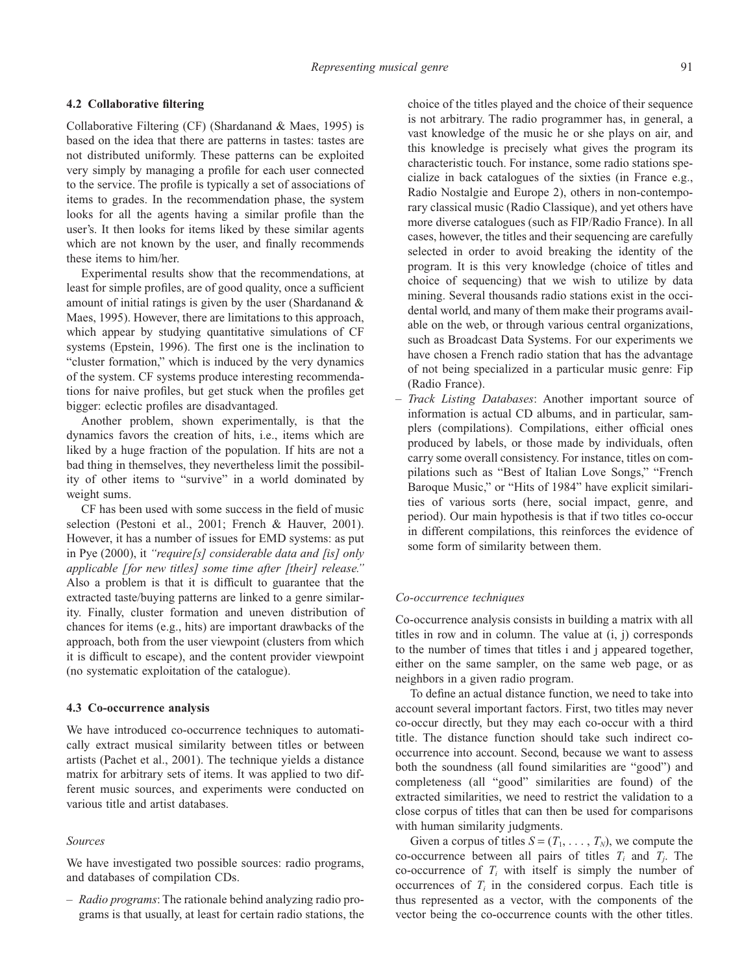#### **4.2 Collaborative filtering**

Collaborative Filtering (CF) (Shardanand & Maes, 1995) is based on the idea that there are patterns in tastes: tastes are not distributed uniformly. These patterns can be exploited very simply by managing a profile for each user connected to the service. The profile is typically a set of associations of items to grades. In the recommendation phase, the system looks for all the agents having a similar profile than the user's. It then looks for items liked by these similar agents which are not known by the user, and finally recommends these items to him/her.

Experimental results show that the recommendations, at least for simple profiles, are of good quality, once a sufficient amount of initial ratings is given by the user (Shardanand & Maes, 1995). However, there are limitations to this approach, which appear by studying quantitative simulations of CF systems (Epstein, 1996). The first one is the inclination to "cluster formation," which is induced by the very dynamics of the system. CF systems produce interesting recommendations for naive profiles, but get stuck when the profiles get bigger: eclectic profiles are disadvantaged.

Another problem, shown experimentally, is that the dynamics favors the creation of hits, i.e., items which are liked by a huge fraction of the population. If hits are not a bad thing in themselves, they nevertheless limit the possibility of other items to "survive" in a world dominated by weight sums.

CF has been used with some success in the field of music selection (Pestoni et al., 2001; French & Hauver, 2001). However, it has a number of issues for EMD systems: as put in Pye (2000), it *"require[s] considerable data and [is] only applicable [for new titles] some time after [their] release."* Also a problem is that it is difficult to guarantee that the extracted taste/buying patterns are linked to a genre similarity. Finally, cluster formation and uneven distribution of chances for items (e.g., hits) are important drawbacks of the approach, both from the user viewpoint (clusters from which it is difficult to escape), and the content provider viewpoint (no systematic exploitation of the catalogue).

#### **4.3 Co-occurrence analysis**

We have introduced co-occurrence techniques to automatically extract musical similarity between titles or between artists (Pachet et al., 2001). The technique yields a distance matrix for arbitrary sets of items. It was applied to two different music sources, and experiments were conducted on various title and artist databases.

#### *Sources*

We have investigated two possible sources: radio programs, and databases of compilation CDs.

– *Radio programs*: The rationale behind analyzing radio programs is that usually, at least for certain radio stations, the

choice of the titles played and the choice of their sequence is not arbitrary. The radio programmer has, in general, a vast knowledge of the music he or she plays on air, and this knowledge is precisely what gives the program its characteristic touch. For instance, some radio stations specialize in back catalogues of the sixties (in France e.g., Radio Nostalgie and Europe 2), others in non-contemporary classical music (Radio Classique), and yet others have more diverse catalogues (such as FIP/Radio France). In all cases, however, the titles and their sequencing are carefully selected in order to avoid breaking the identity of the program. It is this very knowledge (choice of titles and choice of sequencing) that we wish to utilize by data mining. Several thousands radio stations exist in the occidental world, and many of them make their programs available on the web, or through various central organizations, such as Broadcast Data Systems. For our experiments we have chosen a French radio station that has the advantage of not being specialized in a particular music genre: Fip (Radio France).

– *Track Listing Databases*: Another important source of information is actual CD albums, and in particular, samplers (compilations). Compilations, either official ones produced by labels, or those made by individuals, often carry some overall consistency. For instance, titles on compilations such as "Best of Italian Love Songs," "French Baroque Music," or "Hits of 1984" have explicit similarities of various sorts (here, social impact, genre, and period). Our main hypothesis is that if two titles co-occur in different compilations, this reinforces the evidence of some form of similarity between them.

#### *Co-occurrence techniques*

Co-occurrence analysis consists in building a matrix with all titles in row and in column. The value at (i, j) corresponds to the number of times that titles i and j appeared together, either on the same sampler, on the same web page, or as neighbors in a given radio program.

To define an actual distance function, we need to take into account several important factors. First, two titles may never co-occur directly, but they may each co-occur with a third title. The distance function should take such indirect cooccurrence into account. Second, because we want to assess both the soundness (all found similarities are "good") and completeness (all "good" similarities are found) of the extracted similarities, we need to restrict the validation to a close corpus of titles that can then be used for comparisons with human similarity judgments.

Given a corpus of titles  $S = (T_1, \ldots, T_N)$ , we compute the co-occurrence between all pairs of titles  $T_i$  and  $T_j$ . The co-occurrence of  $T_i$  with itself is simply the number of occurrences of  $T_i$  in the considered corpus. Each title is thus represented as a vector, with the components of the vector being the co-occurrence counts with the other titles.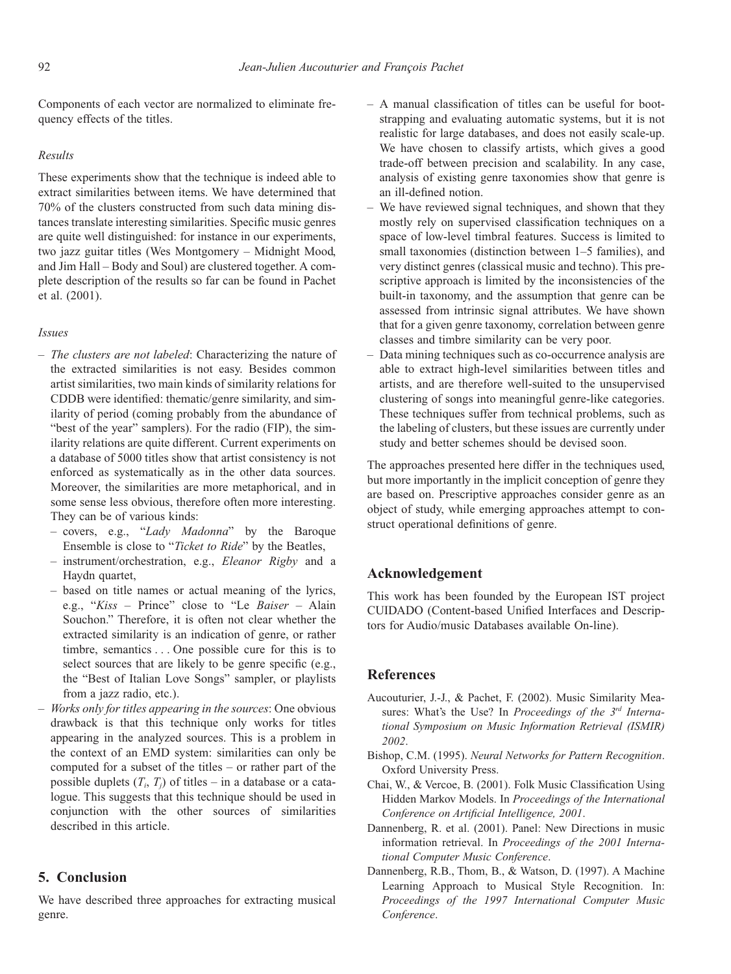Components of each vector are normalized to eliminate frequency effects of the titles.

## *Results*

These experiments show that the technique is indeed able to extract similarities between items. We have determined that 70% of the clusters constructed from such data mining distances translate interesting similarities. Specific music genres are quite well distinguished: for instance in our experiments, two jazz guitar titles (Wes Montgomery – Midnight Mood, and Jim Hall – Body and Soul) are clustered together. A complete description of the results so far can be found in Pachet et al. (2001).

#### *Issues*

- *The clusters are not labeled*: Characterizing the nature of the extracted similarities is not easy. Besides common artist similarities, two main kinds of similarity relations for CDDB were identified: thematic/genre similarity, and similarity of period (coming probably from the abundance of "best of the year" samplers). For the radio (FIP), the similarity relations are quite different. Current experiments on a database of 5000 titles show that artist consistency is not enforced as systematically as in the other data sources. Moreover, the similarities are more metaphorical, and in some sense less obvious, therefore often more interesting. They can be of various kinds:
	- covers, e.g., "*Lady Madonna*" by the Baroque Ensemble is close to "*Ticket to Ride*" by the Beatles,
	- instrument/orchestration, e.g., *Eleanor Rigby* and a Haydn quartet,
	- based on title names or actual meaning of the lyrics, e.g., "*Kiss –* Prince" close to "Le *Baiser* – Alain Souchon." Therefore, it is often not clear whether the extracted similarity is an indication of genre, or rather timbre, semantics... One possible cure for this is to select sources that are likely to be genre specific (e.g., the "Best of Italian Love Songs" sampler, or playlists from a jazz radio, etc.).
- *Works only for titles appearing in the sources*: One obvious drawback is that this technique only works for titles appearing in the analyzed sources. This is a problem in the context of an EMD system: similarities can only be computed for a subset of the titles – or rather part of the possible duplets  $(T_i, T_j)$  of titles – in a database or a catalogue. This suggests that this technique should be used in conjunction with the other sources of similarities described in this article.

# **5. Conclusion**

We have described three approaches for extracting musical genre.

- A manual classification of titles can be useful for bootstrapping and evaluating automatic systems, but it is not realistic for large databases, and does not easily scale-up. We have chosen to classify artists, which gives a good trade-off between precision and scalability. In any case, analysis of existing genre taxonomies show that genre is an ill-defined notion.
- We have reviewed signal techniques, and shown that they mostly rely on supervised classification techniques on a space of low-level timbral features. Success is limited to small taxonomies (distinction between 1–5 families), and very distinct genres (classical music and techno). This prescriptive approach is limited by the inconsistencies of the built-in taxonomy, and the assumption that genre can be assessed from intrinsic signal attributes. We have shown that for a given genre taxonomy, correlation between genre classes and timbre similarity can be very poor.
- Data mining techniques such as co-occurrence analysis are able to extract high-level similarities between titles and artists, and are therefore well-suited to the unsupervised clustering of songs into meaningful genre-like categories. These techniques suffer from technical problems, such as the labeling of clusters, but these issues are currently under study and better schemes should be devised soon.

The approaches presented here differ in the techniques used, but more importantly in the implicit conception of genre they are based on. Prescriptive approaches consider genre as an object of study, while emerging approaches attempt to construct operational definitions of genre.

## **Acknowledgement**

This work has been founded by the European IST project CUIDADO (Content-based Unified Interfaces and Descriptors for Audio/music Databases available On-line).

## **References**

- Aucouturier, J.-J., & Pachet, F. (2002). Music Similarity Measures: What's the Use? In *Proceedings of the 3rd International Symposium on Music Information Retrieval (ISMIR) 2002*.
- Bishop, C.M. (1995). *Neural Networks for Pattern Recognition*. Oxford University Press.
- Chai, W., & Vercoe, B. (2001). Folk Music Classification Using Hidden Markov Models. In *Proceedings of the International Conference on Artificial Intelligence, 2001*.
- Dannenberg, R. et al. (2001). Panel: New Directions in music information retrieval. In *Proceedings of the 2001 International Computer Music Conference*.
- Dannenberg, R.B., Thom, B., & Watson, D. (1997). A Machine Learning Approach to Musical Style Recognition. In: *Proceedings of the 1997 International Computer Music Conference*.